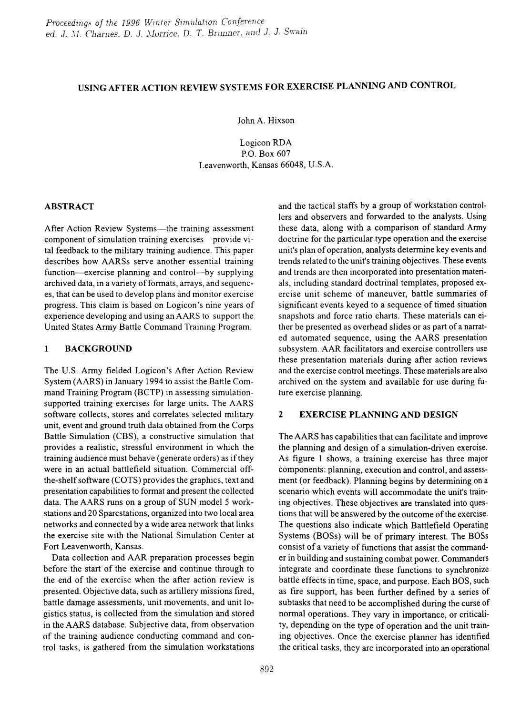# USING AFTER ACTION REVIEW SYSTEMS FOR EXERCISE PLANNING AND CONTROL

John A. Hixson

Logicon RDA P.O. Box 607 Leavenworth, Kansas 66048, U.S.A.

### ABSTRACT

After Action Review Systems—the training assessment component of simulation training exercises-provide vital feedback to the military training audience. This paper describes how AARSs serve another essential training function-exercise planning and control-by supplying archived data, in a variety of formats, arrays, and sequences, that can be used to develop plans and monitor exercise progress. This claim is based on Logicon's nine years of experience developing and using an AARS to support the United States Army Battle Command Training Program.

# 1 BACKGROUND

The U.S. Army fielded Logicon's After Action Review System (AARS) in January 1994 to assist the Battle Command Training Program (BCTP) in assessing simulationsupported training exercises for large units. The AARS software collects, stores and correlates selected military unit, event and ground truth data obtained from the Corps Battle Simulation (CBS), a constructive simulation that provides a realistic, stressful environment in which the training audience must behave (generate orders) as ifthey were in an actual battlefield situation. Commercial offthe-shelf software (COTS) provides the graphics, text and presentation capabilities to fonnat and present the collected data. The AARS runs on a group of SUN model 5 workstations and 20 Sparcstations, organized into two local area networks and connected by a wide area network that links the exercise site with the National Simulation Center at Fort Leavenworth, Kansas.

Data collection and AAR preparation processes begin before the start of the exercise and continue through to the end of the exercise when the after action review is presented. Objective data, such as artillery missions fired, battle damage assessments, unit movements, and unit logistics status, is collected from the simulation and stored in the AARS database. Subjective data, from observation of the training audience conducting command and control tasks, is gathered from the simulation workstations and the tactical staffs by a group of workstation controllers and observers and forwarded to the analysts. Using these data, along with a comparison of standard Army doctrine for the particular type operation and the exercise unit's plan of operation, analysts detennine key events and trends related to the unit's training objectives. These events and trends are then incorporated into presentation materials, including standard doctrinal templates, proposed exercise unit scheme of maneuver, battle summaries of significant events keyed to a sequence of timed situation snapshots and force ratio charts. These materials can either be presented as overhead slides or as part of a narrated automated sequence, using the AARS presentation subsystem. AAR facilitators and exercise controllers use these presentation materials during after action reviews and the exercise control meetings. These materials are also archived on the system and available for use during future exercise planning.

# 2 EXERCISE PLANNING AND DESIGN

The AARS has capabilities that can facilitate and improve the planning and design of a simulation-driven exercise. As figure 1 shows, a training exercise has three major components: planning, execution and control, and assessment (or feedback). Planning begins by determining on a scenario which events will accommodate the unit's training objectives. These objectives are translated into questions that will be answered by the outcome of the exercise. The questions also indicate which Battlefield Operating Systems (BOSs) will be of primary interest. The BOSs consist of a variety of functions that assist the commander in building and sustaining combat power. Conunanders integrate and coordinate these functions to synchronize battle effects in time, space, and purpose. Each BOS, such as fire support, has been further defined by a series of subtasks that need to be accomplished during the curse of normal operations. They vary in importance, or criticality, depending on the type of operation and the unit training objectives. Once the exercise planner has identified the critical tasks, they are incorporated into an operational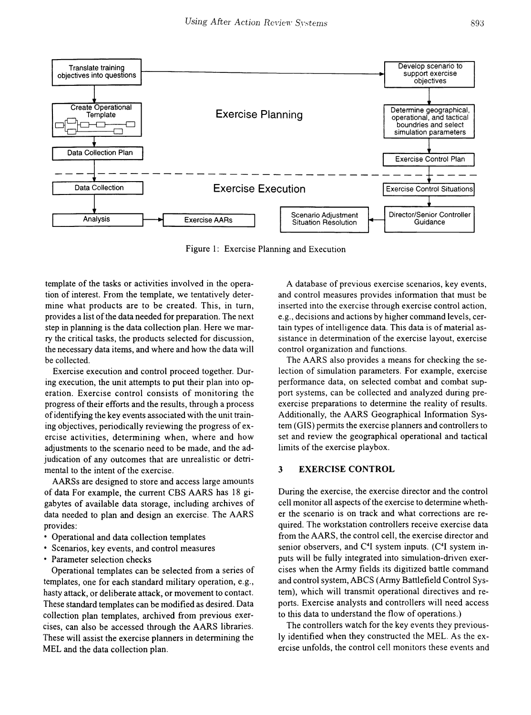

Figure 1: Exercise Planning and Execution

template of the tasks or activities involved in the operation of interest. From the template, we tentatively determine what products are to be created. This, in turn, provides a list of the data needed for preparation. The next step in planning is the data collection plan. Here we marry the critical tasks, the products selected for discussion, the necessary data items, and where and how the data will be collected.

Exercise execution and control proceed together. During execution, the unit attempts to put their plan into operation. Exercise control consists of monitoring the progress of their efforts and the results, through a process ofidentifying the key events associated with the unit training objectives, periodically reviewing the progress of exercise activities, determining when, where and how adjustments to the scenario need to be made, and the adjudication of any outcomes that are unrealistic or detrimental to the intent of the exercise.

AARSs are designed to store and access large amounts of data For example, the current CBS AARS has 18 gigabytes of available data storage, including archives of data needed to plan and design an exercise. The AARS provides:

- Operational and data collection templates
- Scenarios, key events, and control measures
- Parameter selection checks

Operational templates can be selected from a series of templates, one for each standard military operation, e.g., hasty attack, or deliberate attack, or movement to contact. These standard templates can be modified as desired. Data collection plan templates, archived from previous exercises, can also be accessed through the AARS libraries. These will assist the exercise planners in determining the MEL and the data collection plan.

A database of previous exercise scenarios, key events, and control measures provides information that must be inserted into the exercise through exercise control action, e.g., decisions and actions by higher command levels, certain types of intelligence data. This data is of material assistance in determination of the exercise layout, exercise control organization and functions.

The AARS also provides a means for checking the selection of simulation parameters. For example, exercise performance data, on selected combat and combat support systems, can be collected and analyzed during preexercise preparations to determine the reality of results. Additionally, the AARS Geographical Information System (GIS) permits the exercise planners and controllers to set and review the geographical operational and tactical limits of the exercise playbox.

#### 3 EXERCISE CONTROL

During the exercise, the exercise director and the control cell monitor all aspects of the exercise to determine whether the scenario is on track and what corrections are required. The workstation controllers receive exercise data from the AARS, the control cell, the exercise director and senior observers, and C<sup>4</sup>I system inputs. (C<sup>4</sup>I system inputs will be fully integrated into simulation-driven exercises when the Anny fields its digitized battle command and control system, ABCS (Army Battlefield Control System), which will transmit operational directives and reports. Exercise analysts and controllers will need access to this data to understand the flow of operations.)

The controllers watch for the key events they previously identified when they constructed the MEL. As the exercise unfolds, the control cell monitors these events and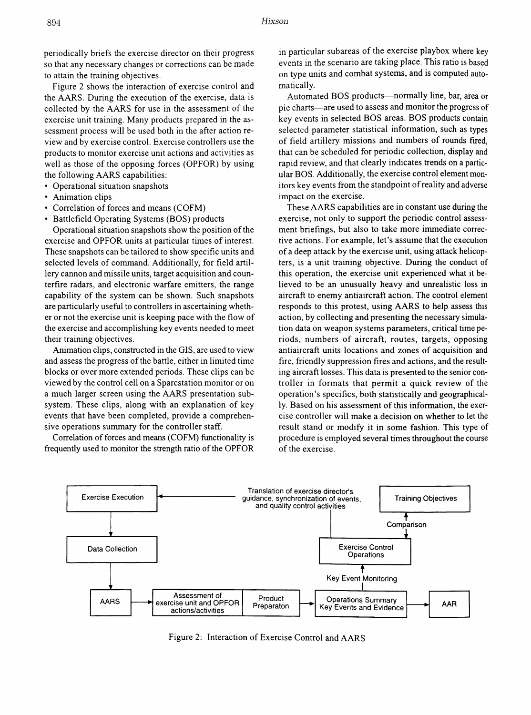periodically briefs the exercise director on their progress so that any necessary changes or corrections can be made to attain the training objectives.

Figure 2 shows the interaction of exercise control and the AARS. During the execution of the exercise, data is collected by the AARS for use in the assessment of the exercise unit training. Many products prepared in the assessment process will be used both in the after action review and by exercise control. Exercise controllers use the products to monitor exercise unit actions and activities as well as those of the opposing forces (OPFOR) by using the following AARS capabilities:

- Operational situation snapshots
- Animation clips
- Correlation of forces and means (COFM)
- Battlefield Operating Systems (BOS) products

Operational situation snapshots show the position of the exercise and OPFOR units at particular times of interest. These snapshots can be tailored to show specific units and selected levels of command. Additionally, for field artillery cannon and missile units, target acquisition and counterfire radars, and electronic warfare emitters, the range capability of the system can be shown. Such snapshots are particularly useful to controllers in ascertaining whether or not the exercise unit is keeping pace with the flow of the exercise and accomplishing key events needed to meet their training objectives.

Animation clips, constructed in the GIS, are used to view and assess the progress of the battle, either in limited time blocks or over more extended periods. These clips can be viewed by the control cell on a Sparcstation monitor or on a much larger screen using the AARS presentation subsystem. These clips, along with an explanation of key events that have been completed, provide a comprehensive operations summary for the controller staff.

Correlation of forces and means (COFM) functionality is frequently used to monitor the strength ratio of the OPFOR

in particular subareas of the exercise playbox where key events in the scenario are taking place. This ratio is based on type units and combat systems, and is computed automatically.

Automated BOS products-normally line, bar, area or pie charts-are used to assess and monitor the progress of key events in selected BOS areas. BOS products contain selected parameter statistical information, such as types of field artillery missions and numbers of rounds fired, that can be scheduled for periodic collection, display and rapid review, and that clearly indicates trends on a particular BOS. Additionally, the exercise control element monitors key events from the standpoint of reality and adverse impact on the exercise.

These AARS capabilities are in constant use during the exercise, not only to support the periodic control assessment briefings, but also to take more immediate corrective actions. For example, let's assume that the execution of a deep attack by the exercise unit, using attack helicopters, is a unit training objective. During the conduct of this operation, the exercise unit experienced what it believed to be an unusually heavy and unrealistic loss in aircraft to enemy antiaircraft action. The control element responds to this protest, using AARS to help assess this action, by collecting and presenting the necessary simulation data on weapon systems parameters, critical time periods, numbers of aircraft, routes, targets, opposing antiaircraft units locations and zones of acquisition and fire, friendly suppression fires and actions, and the resulting aircraft losses. This data is presented to the senior controller in formats that permit a quick review of the operation's specifics, both statistically and geographically. Based on his assessment of this information, the exercise controller will make a decision on whether to let the result stand or modify it in some fashion. This type of procedure is employed several times throughout the course of the exercise.



Figure 2: Interaction of Exercise Control and AARS